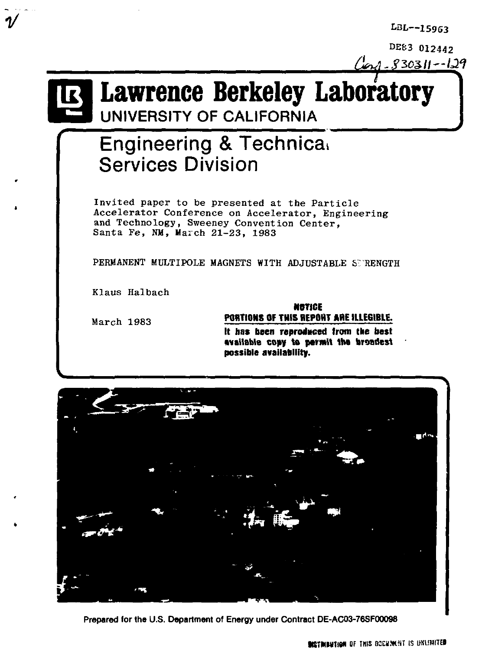*LBL***—15963** 

**DE63 012442** 

# <u>ل</u><br>مورمو **Lawrence Berkeley Laboratory**

UNIVERSITY OF CALIFORNIA

## Engineering & Technical Services Division

Invited paper to be presented at the Particle Accelerator Conference on Accelerator, Engineering and Technology, Sweeney Convention Center, Santa Fe, NM, March 21-23, 1983

PERMANENT MULTIPOLE MAGNETS WITH ADJUSTABLE STRENGTH

**possible availability.** 

Klaus Halbach

March 1983

### **NOTICE P0BTI0MS OF THIS BEPOHT ABE IllEGIBlE. It has been reproduced from tee best available copy to permit the broadest**



**Prepared for the U.S. Department of Energy under Contract DE-AC03-76SF00098**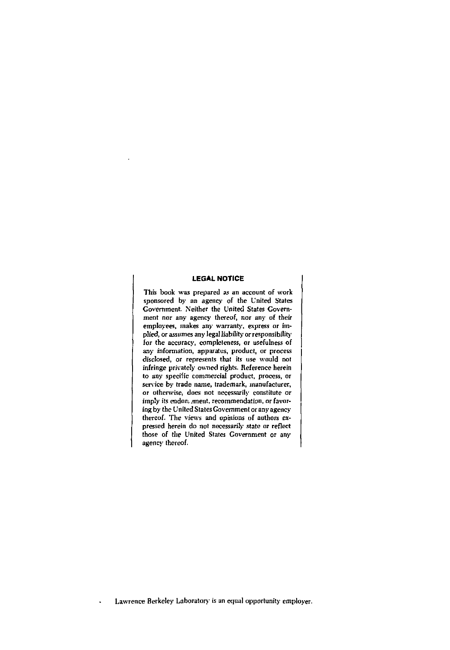#### **LEGAL NOTICE**

This book was prepared as an account of work sponsored by an agency of the United States Government. Neither the United States Government nor any agency thereof, nor any of their employees, makes any warranty, express or implied, or assumes any legal liability or responsibility for the accuracy, completeness, or usefulness of any information, apparatus, product, or process disclosed, or represents that its use would not infringe privately owned rights. Reference herein to any specific commercial product, process, or service by trade name, trademark, manufacturer, or otherwise, does not necessarily constitute or imply its endor, ment, recommendation, or favoring by the United States Government or any agency thereof. The views and opinions of authors expressed herein do not necessarily state or reflect those of the United States Government or any agency thereof.

Lawrence Berkeley Laboratory is an equal opportunity employer.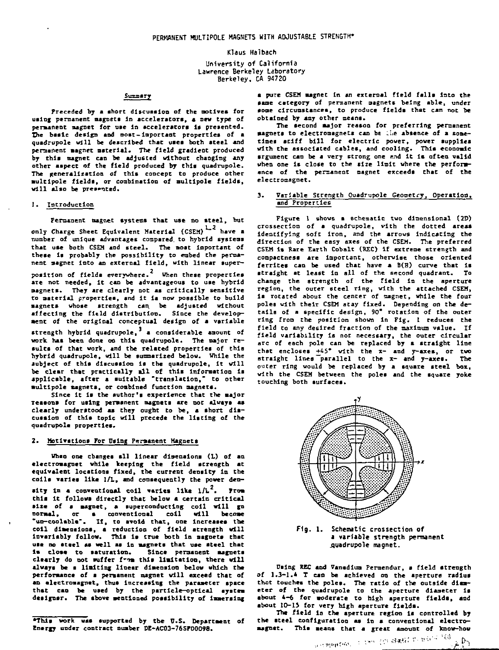#### Klaus Halbach

University of California Lawrence Berkeley Laboratory Berkeley, CA 94720

#### Summery

**Preceded by a short discussion of the actives for using, permanent magnets In accelerators, a new type of permanent magnet for use In accelerators Is presented. The basic design and most- Important properties of a quadrupole will be described that uses both steel and permanent siagnet nsterlal. The field gradient produced by this magnet can be adjusted without changing any other aspect of the field produced by this quadrupole. The generalization of this concept to produce other •ultlpole fields, or combination of nultlpole fields, will also be presented.** 

#### **1. Introduction**

Permanent magnet systems that use no steel, but **only Charge Sheet Equivalent Material (CSEM) have a number of unique advantages cospared. to hybrid systeas that use both CSEM and steel. The aost Important of these is probably the possibility to embed the permanent aagnet into an external field, with linear super-**

position of fields everywhere.<sup>2</sup> When these properties **position of fields everywhere. When these properties are not needed, it can be advantageous to uae hybrid magnets. They are clearly not as critically sensitive to material properties, and it is now possible to build aagnets whose strength can. be adjusted without affecting the field distribution. Since the developaent of the original conceptual design of a variable** 

strength hybrid quadrupole,<sup>3</sup> a considerable amount of **work has been done on this quadrupole. The major results of that work, and the related properties of this hybrid quadrupole, will be summarized below. While the subject of this discussion la the quadrupole, It will be clear that practically all of this information Is applicable, after a suitable "translation," to other •ultlpole magnets, or combined function magnets.** 

**Since it is the author's experience that the major Teaaons for using permanent magnets are not always as clearly understood as they ought to be, a short discussion of this topic will precede the listing of the quadrupole properties.** 

#### 2. **Hotivations For Using Permanent Magnets**

**tfheo one changes sll linear dimensions <L) of an electromagnet while keeping the field strength at equivalent locations fixed, the current density In the colls varies like 1/L, and consequently the power density In a conventional coil varies like l/L . from this It follows directly that below a certain critical size of a aagnet, a superconducting coil will go normal, or a conventional coll will become "un-coolable". If, to avoid that, one increases toe coll dimensions, a reduction of field strength will invariably follow. This is true both in asgoeta that use no steel as well aa In aagnets that use steel that la close to saturation. Since permanent magnets**  clearly do not suffer from this limitation, there will **always be a Halting linear dimension below which the performance of a permanent magnet will exceed that of an electromagnet, thus Increasing the parameter space that can be used by the particle—optical system designer. The sbove mentioned possibility of immersing** 

**\*This work was supported by the U.S. Department of Energy under contract number DE-AC03-76SF00098.** 

**a pure CSEM magnet In an external field falls into the same category of permanent aagnets being able, under**  some circumstances, to produce fields that can not be **obtained by any other means.** 

**The second major reason for preferring permanent •agnets to electromsgnets can be i.l>e absence of a sometimes stiff bill for electric power, power supplies with the associated cables, and cooling. This economic argument can be a very strong one and it is often valid when one is close to the size limit where the performance of the permanent magnet exceeds that of the electromagnet.** 

#### **3. Variable Strength Ouadrupole Geometry, Operation, and Properties**

**Figure 1 shows a schematic two dimensional (2D) crossection of a quadrupole, vlth the dotted areas Identifying soft iron, and the arrows indicating the direction of the easy axes of the CSEM. The preferred CSEM is Rare Earth Cobalt (REC) if extreme strength and compactness are important, otherwise those oriented ferrltes can be used that have a B(H) curve that is straight at least in all of the second quadrant. To change the strength of the field in the aperture region, the outer steel ring, with the attached CSEM, la rotated about the center of magnet, while the four poles with their CSEM stay fixed. Depending on the details of a specific design, 90" rotation of the outer ring from the position shown in Fig. 1 reduces the field to any desired fraction of the maximum value. If field variability la not necessary, the outer circular arc of each pole can be replaced by a straight line that encloses +45\* with the x- and y-axes, or two straight lines parallel to the x- and y-axes. The outer ring would be replaced by a square steel box, with the CSEM between the poles and the square yoke touching both surfaces.** 



**Fig. 1. Schematic** crossection **of a variable strength permanent .quadrupole magnet.** 

**Using REC and Vanadium Peraendur, a field strength of 1.3-1.4 T can be achieved on the aperture radius thot touches the poles. The ratio of the outside diam-eter of the quadrupole to the aperture diameter is about 4-6 for aoderate to high aperture fields, and**  about 10-15 for very high aperture fields.

The field in the aperture region is controlled by **the steel configuration as in a conventional electromagnet. This means that a great amount of know-how**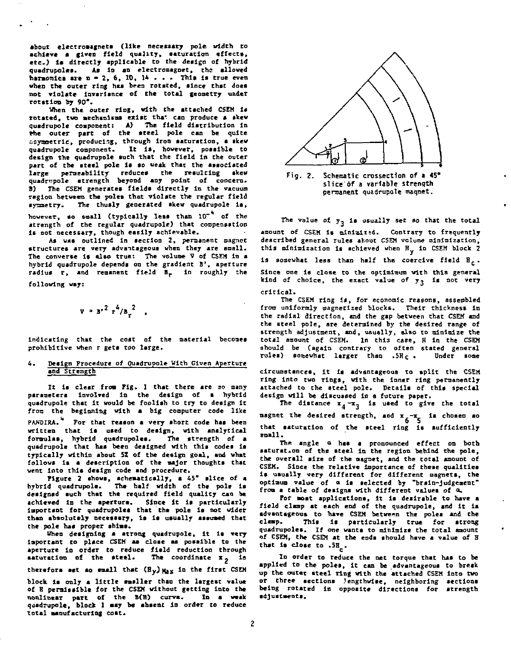**about electromagnets (like necessary pole width to achieve • given field quality, saturation effects, etc.) la directly applicable to the design of hybrid quadrupoles. As In an electromagnet, the allowed harmonica are n - 2, 6, 10, 1\* . • . This is true even when the outer ring has been rotated, since that does not violate imparlance of the total geometry under rotation hy 90\*.** 

**When the outer ring, with the attached CSEM is**  rotated, two mechanisms exist that can produce a skew **quadrupole component: A) The field distribution In Hie outer part of the steel pole can be quite ooymoetrlc, producing, through Iron saturation, a skew quadrupole component. It is, however, possible to design the quadrupole such that the field in the outer part of the steel pole la so weak that the associated large permeability reduces the resulting skew quadripole strength beyond any point of concern. 1) The CSEM generates fields directly In the vacuum region between the poles that violate the regular field symmetry. The thusly generated akew quadrupole Is,**  however, so small (typically leas than 10<sup>-4</sup> of the

**strength of the regular quadrupole) that compensation is not necessary, though easily achievable.** 

**Aa was outlined In section 2, permanent magnet structures are very advantageous when they are snail. The converse It also true: The volume V of CSEM In a hybrid quadrupole depends on the gradient B', aperture radius r, and remanent field B\_ In roughly the following way:** 

**V . B-2 r <sup>4</sup> / » <sup>t</sup> <sup>2</sup> .** 

**indicating that the cost of the material becomes prohibitive when r gets too large.** 

#### **6. Design Procedure of Quadrupole With Given Aperture and Strength**

**It ia clear from Fig. 1 that there are so many parameters involved In the design of a hybrid quadrupole that it would be fooliah to try to design It from the beginning with a big computer code like**  PANDIRA.<sup>4</sup> For that reason a very short code has been **written that is used to design, with analytical**  formulas, hybrid quadrupoles. quadrupole that has been designed with this codes is **typically within about 51 of the design goal, and what**  follows is a description of the major thoughts that **went into thla design code and procedure.** 

**Figure 2 shows, schematically, a 45" slice of a hybrid quadrupolc. Tha half width of the pole la designed such that the required field quality can be achieved In the aperture. Since It is particularly important for quadrupoles that the pole is not wider than absolutely necessary. Is is usually assumed that**  the pole has proper shims.

**When designing a atrong quadrupole, it Is very Important to place CSEM aa cloae aa possible to the aperture in order to reduce field reduction through saturation of the steel. The coordinate x . is therefore set ao small that (By)Ha<sup>X</sup> <sup>l</sup> Q Cn e flri <sup>t</sup> CS ™** 

**block la only a little smaller than the largest value of B permissible for the CSEM without getting into the nonlinear part of the MB ) curve. In a weak quadrupole, block 1 may be abaent In order to reduce total manufacturing coat.** 



**Fig. 2. Schematic crossectlon of a 45\* slice of a variable strength permanent, quadrupole maqnet.** 

**The value of y\_ is usually set so that the total**  amount of CSEM is minimized. Contrary to frequently **described general rules shout CSEM volume minimization,**  this minimization is achieved when H<sub>y</sub> in CSEM block 2 **1s** somewhat less than half the coercive field  $\mathbb{H}_c$ . **Since one ia close to the optlmimum with this general**  kind of choice, the exact value of y<sub>?</sub> is not very **critical.** 

The CSEM ring is, for economic reasons, assembled **from uniformly magnetized blocks. Their thickness in the radial direction, and the gap between that CSEM and the steel pole, are determined by the desired range of strength adjustment, and, usually, also to minimize the total amount of CSEM. In this case, H In the CSEM should be (again contrary to often stated general**  rules) somewhat larger than .5Hc.

**circumstances, it la advantageous to split the CSEM ring into two rings, with the inner ring permanently attached to the steel pole. Details of this special design will be discussed in a future paper.** 

The distance  $x_4-x_3$  is used to give the total **magnet** the desired strength, and  $x_{6} - x_{6}$  is chosen so **6 5 that saturation of the steel ring is sufficiently small.** 

**The angle a has a pronounced effect on both saturation of the steel in the region behind the pole, the oversll size of the magnet, and the total amount of CSEM. Since the relative Importance of these qualities Is usually very different for different magnets, the optimum value of a is selected by "brain-judgement" from a table of designs with different values of a.** 

**For most applications, it is desirable to have a field clamp at each end of the quadrupole, and it is advantageous to have CSEM between the poles and the clamp. This Is particularly true for atrong quadrupolea. If one wants to minimize the total amount of CSEM, the CSEM at the ends should have a value of H that is dos e to .5H .** 

In order to reduce the net torque that has to be applied to the poles, it can be advantageous to break **applied to the poles, it can be advantageous to bresk up the outer steel ring with the attached CSEM into two or three sections .lengthwise, neighboring sections being rotated in opposite directions for strength adjustments.**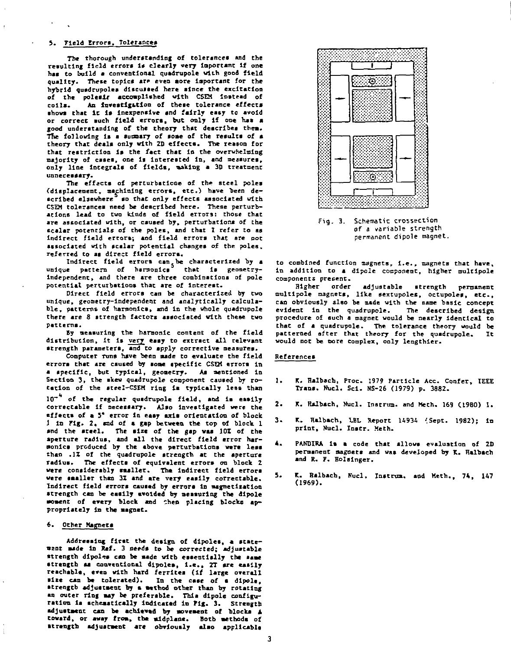#### 5. Field Errors, Tolerances

**The thorough understanding of tolerances and the resulting field errors is clearly very laportant If one has to build a conventional quadrupole with good field**  quality. These topics are even aore important for the **hybrid qusdrupoles discussed here since the excitation of the polesir accomplished with CSEM Instead of**  An investigation of these tolerance effects **shovs that It 1\* Inexpensive and fairly easy to avoid or correct such field errors, but only If one has a good understanding of the theory that describes theau Tne following Is a summary of some of the results of s theory that deals only with ZD effects. The reason for that restriction** *it* **the fact that In the overwhelming majority of cases, one Is Interested In, and measures, only line Integrals of fields, sakisg a 3D treatment unnecessary.** 

The effects of perturbations of the steel poles **(displacement, machining errors, etc.) have been de-scribed elsewhere to that only effects associated with CSEM tolerances need be described here. These perturbations lead to two kinds of field errors: those that are associated with, or caused by, perturbations of the scalar potentials of the poles, and that 1 refer to as indirect field errors; and field errors that are not associated with scalar potential changes of the poles,**  referred to as direct field errors.

**Indirect field errors can be characterized by a**  unique pattern of harmonics<sup>5</sup> **independent, and there are three combinations of pole potential perturbations that are of Interest.** 

Direct field errors can be characterized by two **unique, geometry-independent and analytically calculable, patterns of harmonics, and in the whole quadrupole there are 8 strength factors associated with these two patterns.** 

**By measuring the harmonic content of the field distribution, It is very easy to extract all relevant strength parameters, and to apply corrective measures.** 

**Computer runs have been made to evaluate the field errora that are caused by some specific CSEM errors in**  a specific, but typical, geometry. As mentioned in **Section 3, the skew quadrupole component caused by rotation of the steel-CSEH ring la typically less than** 

**10~\* of the regular qusdrupole field, and is easily correctable If necessary. Also investigated were the effects of a 5\* error in easy axis orientation of block 1 In Fig. 2. and of a gap between the top of block 1 and the steel. The size of the gap was 101 of the aperture radius, and all the direct field error har**monics produced by the above perturbations were less **than .11 of the quadrupole strength at the aperture radius. The effects of equivalent errors on block 2 were considerably smaller. The indirect field errors were smaller than 32 and are very easily correctable. Indirect field errors caused by errors in magnetisation strength can be easily avoided by measuring the dlpole moment of every block and Chen placing blocks appropriately In the magnet.** 

#### **2.** Other Magnets

**Addre•sing first the design of dipoles, a statement made in Rcf. 3 needs to be corrected; adjustable strength dlpoles can be made with essentially the same**  strength am conventional dipoles, i.e., 2T are easily<br>reachable, even with hard ferrites (if large overall wize can be tolerated). In the case of a dipole, **strength adjustment by a method other than by rotating an outer ring may be preferable. This dlpole configuration la schematically Indicated in Pig. 3. Strength adjustment cam be acKlevmd by movement of block\* A toward, or away from, the mldplane. Both methods of strength adjustment arc obviously also applicable** 



**Fig. 3. Schematic crossection of a variable strength permanent dipole magnet** 

**to combined function magnets, i.e., magnets that have, in addition to a dipole component, higher mult1pole components present.** 

**Higher order adjustable strength permanent multlpole magnets, like sextupoles, octupoles, etc., can obviously also be made with the same basic concept**  evident in the quadrupole. **procedure of such a magnet would be nearly identical to that of a quadrupole. The tolerance theory would be patterned after that theory for the quadrupole. It vould not be more complex, only lengthier.** 

#### **References**

- **1. K. Halbach, Proc. 1979 Particle Ace. Confer, IEEE Trans, fticl. Sci. NS-26 (1979) p. 3882.**
- **2. K. Ralbach, Hucl. Instrum, and Meth. 169 (19B0) 1.**
- 3. K. Halbach, LBL Report 14934 (Sept. 1982); in **print, Nucl. Instr. Meth.**
- **«. PANDIKA is a code that allows evaluation of 2D permanent magnets and was developed by X. Halbach and R. F. Bolslnger.**
- **S. K. Halbach, Kucl. Instrum. and Keth., 74, 147 (1969).**